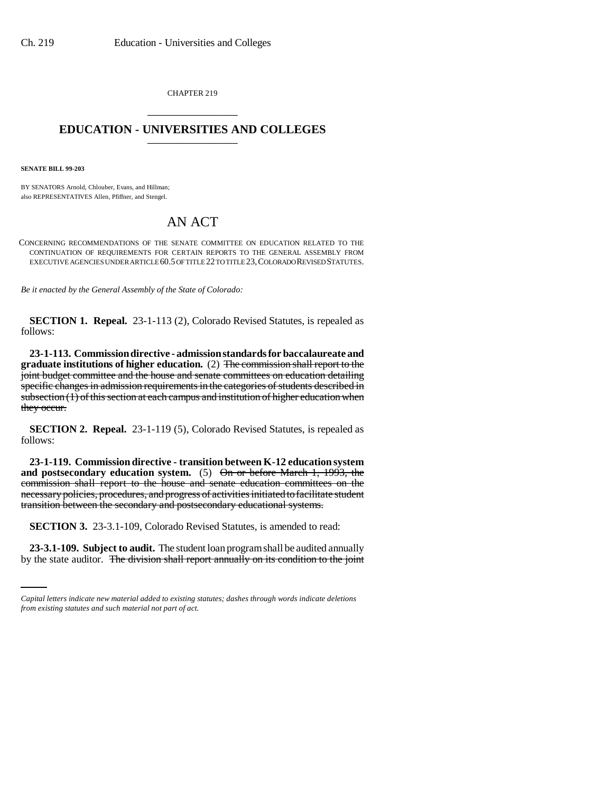CHAPTER 219 \_\_\_\_\_\_\_\_\_\_\_\_\_\_\_

## **EDUCATION - UNIVERSITIES AND COLLEGES** \_\_\_\_\_\_\_\_\_\_\_\_\_\_\_

**SENATE BILL 99-203** 

BY SENATORS Arnold, Chlouber, Evans, and Hillman; also REPRESENTATIVES Allen, Pfiffner, and Stengel.

## AN ACT

CONCERNING RECOMMENDATIONS OF THE SENATE COMMITTEE ON EDUCATION RELATED TO THE CONTINUATION OF REQUIREMENTS FOR CERTAIN REPORTS TO THE GENERAL ASSEMBLY FROM EXECUTIVE AGENCIES UNDER ARTICLE 60.5 OF TITLE 22 TO TITLE 23,COLORADO REVISED STATUTES.

*Be it enacted by the General Assembly of the State of Colorado:*

**SECTION 1. Repeal.** 23-1-113 (2), Colorado Revised Statutes, is repealed as follows:

**23-1-113. Commission directive - admission standards for baccalaureate and graduate institutions of higher education.** (2) The commission shall report to the joint budget committee and the house and senate committees on education detailing specific changes in admission requirements in the categories of students described in  $subsection (1)$  of this section at each campus and institution of higher education when they occur.

**SECTION 2. Repeal.** 23-1-119 (5), Colorado Revised Statutes, is repealed as follows:

**23-1-119. Commission directive - transition between K-12 education system and postsecondary education system.** (5) On or before March 1, 1993, the commission shall report to the house and senate education committees on the necessary policies, procedures, and progress of activities initiated to facilitate student transition between the secondary and postsecondary educational systems.

**SECTION 3.** 23-3.1-109, Colorado Revised Statutes, is amended to read:

**23-3.1-109. Subject to audit.** The student loan program shall be audited annually by the state auditor. The division shall report annually on its condition to the joint

*Capital letters indicate new material added to existing statutes; dashes through words indicate deletions from existing statutes and such material not part of act.*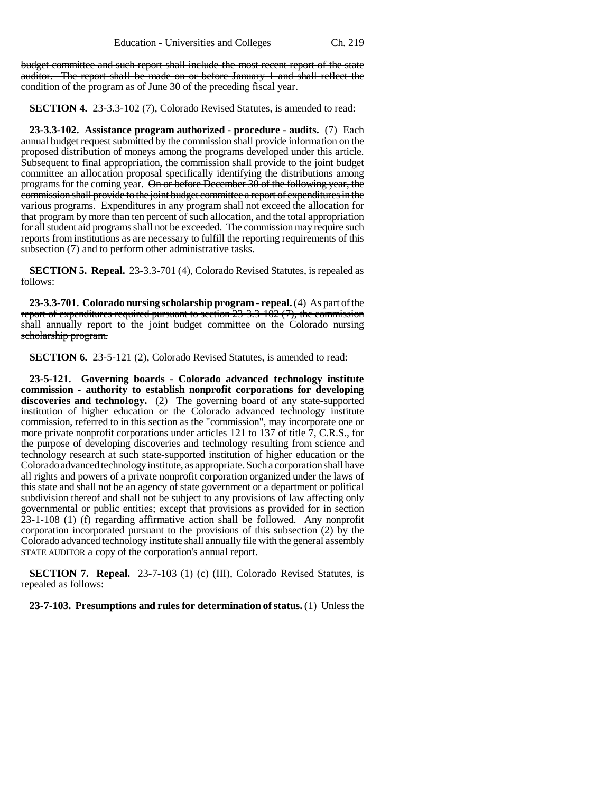budget committee and such report shall include the most recent report of the state auditor. The report shall be made on or before January 1 and shall reflect the condition of the program as of June 30 of the preceding fiscal year.

**SECTION 4.** 23-3.3-102 (7), Colorado Revised Statutes, is amended to read:

**23-3.3-102. Assistance program authorized - procedure - audits.** (7) Each annual budget request submitted by the commission shall provide information on the proposed distribution of moneys among the programs developed under this article. Subsequent to final appropriation, the commission shall provide to the joint budget committee an allocation proposal specifically identifying the distributions among programs for the coming year. On or before December 30 of the following year, the commission shall provide to the joint budget committee a report of expenditures in the various programs. Expenditures in any program shall not exceed the allocation for that program by more than ten percent of such allocation, and the total appropriation for all student aid programs shall not be exceeded. The commission may require such reports from institutions as are necessary to fulfill the reporting requirements of this subsection (7) and to perform other administrative tasks.

**SECTION 5. Repeal.** 23-3.3-701 (4), Colorado Revised Statutes, is repealed as follows:

**23-3.3-701. Colorado nursing scholarship program - repeal.** (4) As part of the report of expenditures required pursuant to section  $23-3.3-102$  (7), the commission shall annually report to the joint budget committee on the Colorado nursing scholarship program.

**SECTION 6.** 23-5-121 (2), Colorado Revised Statutes, is amended to read:

**23-5-121. Governing boards - Colorado advanced technology institute commission - authority to establish nonprofit corporations for developing discoveries and technology.** (2) The governing board of any state-supported institution of higher education or the Colorado advanced technology institute commission, referred to in this section as the "commission", may incorporate one or more private nonprofit corporations under articles 121 to 137 of title 7, C.R.S., for the purpose of developing discoveries and technology resulting from science and technology research at such state-supported institution of higher education or the Colorado advanced technology institute, as appropriate. Such a corporation shall have all rights and powers of a private nonprofit corporation organized under the laws of this state and shall not be an agency of state government or a department or political subdivision thereof and shall not be subject to any provisions of law affecting only governmental or public entities; except that provisions as provided for in section 23-1-108 (1) (f) regarding affirmative action shall be followed. Any nonprofit corporation incorporated pursuant to the provisions of this subsection (2) by the Colorado advanced technology institute shall annually file with the general assembly STATE AUDITOR a copy of the corporation's annual report.

**SECTION 7. Repeal.** 23-7-103 (1) (c) (III), Colorado Revised Statutes, is repealed as follows:

**23-7-103. Presumptions and rules for determination of status.** (1) Unless the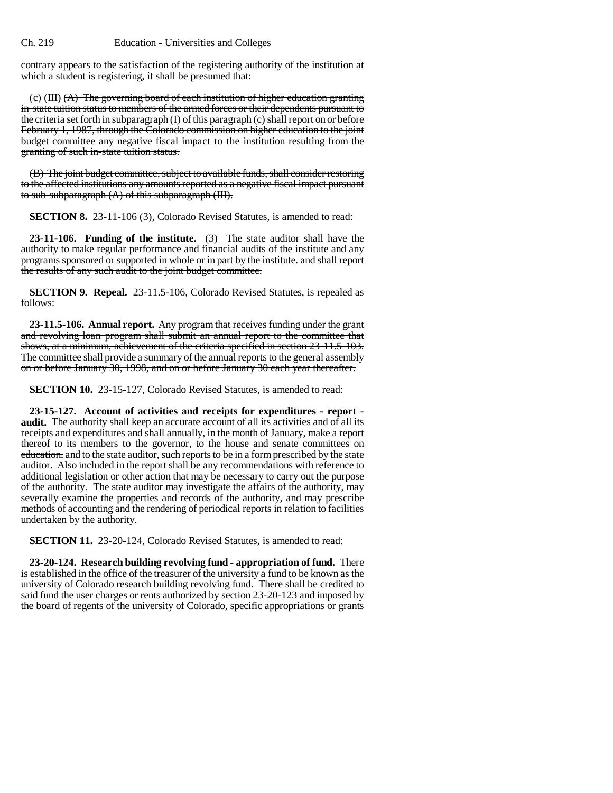contrary appears to the satisfaction of the registering authority of the institution at which a student is registering, it shall be presumed that:

(c) (III)  $(A)$  The governing board of each institution of higher education granting in-state tuition status to members of the armed forces or their dependents pursuant to the criteria set forth in subparagraph (I) of this paragraph (c) shall report on or before February 1, 1987, through the Colorado commission on higher education to the joint budget committee any negative fiscal impact to the institution resulting from the granting of such in-state tuition status.

(B) The joint budget committee, subject to available funds, shall consider restoring to the affected institutions any amounts reported as a negative fiscal impact pursuant to sub-subparagraph (A) of this subparagraph (III).

**SECTION 8.** 23-11-106 (3), Colorado Revised Statutes, is amended to read:

**23-11-106. Funding of the institute.** (3) The state auditor shall have the authority to make regular performance and financial audits of the institute and any programs sponsored or supported in whole or in part by the institute. and shall report the results of any such audit to the joint budget committee.

**SECTION 9. Repeal.** 23-11.5-106, Colorado Revised Statutes, is repealed as follows:

**23-11.5-106. Annual report.** Any program that receives funding under the grant and revolving loan program shall submit an annual report to the committee that shows, at a minimum, achievement of the criteria specified in section 23-11.5-103. The committee shall provide a summary of the annual reports to the general assembly on or before January 30, 1998, and on or before January 30 each year thereafter.

**SECTION 10.** 23-15-127, Colorado Revised Statutes, is amended to read:

**23-15-127. Account of activities and receipts for expenditures - report audit.** The authority shall keep an accurate account of all its activities and of all its receipts and expenditures and shall annually, in the month of January, make a report thereof to its members to the governor, to the house and senate committees on education, and to the state auditor, such reports to be in a form prescribed by the state auditor. Also included in the report shall be any recommendations with reference to additional legislation or other action that may be necessary to carry out the purpose of the authority. The state auditor may investigate the affairs of the authority, may severally examine the properties and records of the authority, and may prescribe methods of accounting and the rendering of periodical reports in relation to facilities undertaken by the authority.

**SECTION 11.** 23-20-124, Colorado Revised Statutes, is amended to read:

**23-20-124. Research building revolving fund - appropriation of fund.** There is established in the office of the treasurer of the university a fund to be known as the university of Colorado research building revolving fund. There shall be credited to said fund the user charges or rents authorized by section 23-20-123 and imposed by the board of regents of the university of Colorado, specific appropriations or grants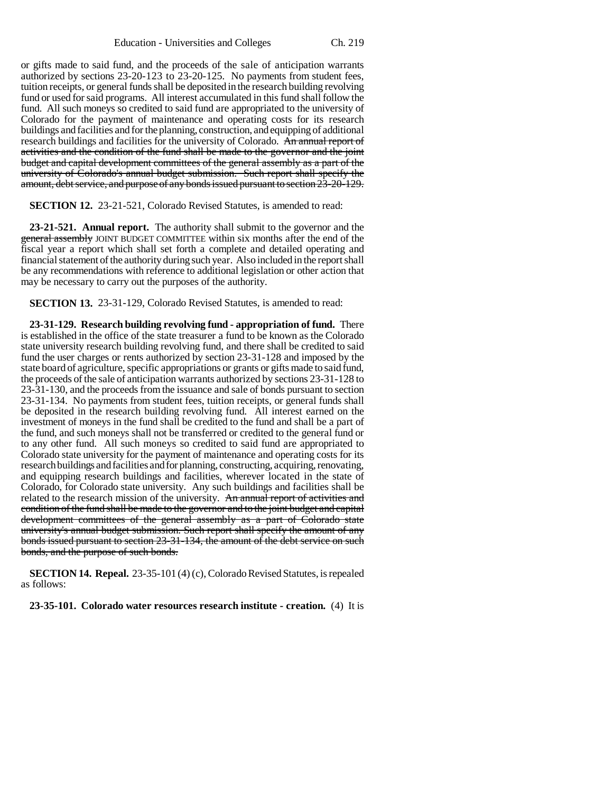or gifts made to said fund, and the proceeds of the sale of anticipation warrants authorized by sections 23-20-123 to 23-20-125. No payments from student fees, tuition receipts, or general funds shall be deposited in the research building revolving fund or used for said programs. All interest accumulated in this fund shall follow the fund. All such moneys so credited to said fund are appropriated to the university of Colorado for the payment of maintenance and operating costs for its research buildings and facilities and for the planning, construction, and equipping of additional research buildings and facilities for the university of Colorado. An annual report of activities and the condition of the fund shall be made to the governor and the joint budget and capital development committees of the general assembly as a part of the university of Colorado's annual budget submission. Such report shall specify the amount, debt service, and purpose of any bonds issued pursuant to section 23-20-129.

**SECTION 12.** 23-21-521, Colorado Revised Statutes, is amended to read:

**23-21-521. Annual report.** The authority shall submit to the governor and the general assembly JOINT BUDGET COMMITTEE within six months after the end of the fiscal year a report which shall set forth a complete and detailed operating and financial statement of the authority during such year. Also included in the report shall be any recommendations with reference to additional legislation or other action that may be necessary to carry out the purposes of the authority.

**SECTION 13.** 23-31-129, Colorado Revised Statutes, is amended to read:

**23-31-129. Research building revolving fund - appropriation of fund.** There is established in the office of the state treasurer a fund to be known as the Colorado state university research building revolving fund, and there shall be credited to said fund the user charges or rents authorized by section 23-31-128 and imposed by the state board of agriculture, specific appropriations or grants or gifts made to said fund, the proceeds of the sale of anticipation warrants authorized by sections 23-31-128 to 23-31-130, and the proceeds from the issuance and sale of bonds pursuant to section 23-31-134. No payments from student fees, tuition receipts, or general funds shall be deposited in the research building revolving fund. All interest earned on the investment of moneys in the fund shall be credited to the fund and shall be a part of the fund, and such moneys shall not be transferred or credited to the general fund or to any other fund. All such moneys so credited to said fund are appropriated to Colorado state university for the payment of maintenance and operating costs for its research buildings and facilities and for planning, constructing, acquiring, renovating, and equipping research buildings and facilities, wherever located in the state of Colorado, for Colorado state university. Any such buildings and facilities shall be related to the research mission of the university. An annual report of activities and condition of the fund shall be made to the governor and to the joint budget and capital development committees of the general assembly as a part of Colorado state university's annual budget submission. Such report shall specify the amount of any bonds issued pursuant to section 23-31-134, the amount of the debt service on such bonds, and the purpose of such bonds.

**SECTION 14. Repeal.** 23-35-101 (4) (c), Colorado Revised Statutes, is repealed as follows:

**23-35-101. Colorado water resources research institute - creation.** (4) It is